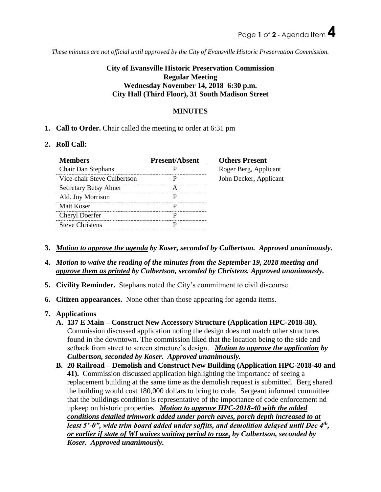*These minutes are not official until approved by the City of Evansville Historic Preservation Commission.*

# **City of Evansville Historic Preservation Commission Regular Meeting Wednesday November 14, 2018 6:30 p.m. City Hall (Third Floor), 31 South Madison Street**

### **MINUTES**

**1. Call to Order.** Chair called the meeting to order at 6:31 pm

#### **2. Roll Call:**

| <b>Members</b>              | <b>Present/Absent</b> | <b>Others Present</b>  |
|-----------------------------|-----------------------|------------------------|
| Chair Dan Stephans          |                       | Roger Berg, Applicant  |
| Vice-chair Steve Culbertson |                       | John Decker, Applicant |
| Secretary Betsy Ahner       |                       |                        |
| Ald. Joy Morrison           |                       |                        |
| Matt Koser                  |                       |                        |
| Cheryl Doerfer              |                       |                        |
| <b>Steve Christens</b>      |                       |                        |

- **3.** *Motion to approve the agenda by Koser, seconded by Culbertson. Approved unanimously.*
- **4.** *Motion to waive the reading of the minutes from the September 19, 2018 meeting and approve them as printed by Culbertson, seconded by Christens. Approved unanimously.*
- **5. Civility Reminder.** Stephans noted the City's commitment to civil discourse.
- **6. Citizen appearances.** None other than those appearing for agenda items.
- **7. Applications** 
	- **A. 137 E Main – Construct New Accessory Structure (Application HPC-2018-38).** Commission discussed application noting the design does not match other structures found in the downtown. The commission liked that the location being to the side and setback from street to screen structure's design. *Motion to approve the application by Culbertson, seconded by Koser. Approved unanimously.*
	- **B. 20 Railroad – Demolish and Construct New Building (Application HPC-2018-40 and 41).** Commission discussed application highlighting the importance of seeing a replacement building at the same time as the demolish request is submitted. Berg shared the building would cost 180,000 dollars to bring to code. Sergeant informed committee that the buildings condition is representative of the importance of code enforcement nd upkeep on historic properties *Motion to approve HPC-2018-40 with the added conditions detailed trimwork added under porch eaves, porch depth increased to at least 5'-0", wide trim board added under soffits, and demolition delayed until Dec 4th , or earlier if state of WI waives waiting period to raze, by Culbertson, seconded by Koser. Approved unanimously.*